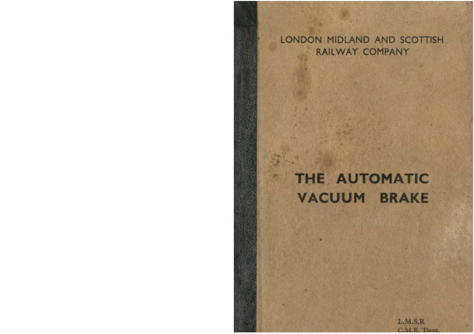LONDON MIDLAND AND SCOTTISH RAILWAY COMPANY

# THE AUTOMATIC **VACUUM BRAKE**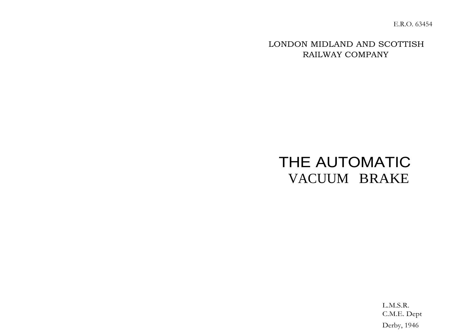E.R.O. 63454

LONDON MIDLAND AND SCOTTISH RAILWAY COMPANY

# THE AUTOMATIC VACUUM BRAKE

L.M.S.R. C.M.E. Dept Derby, 1946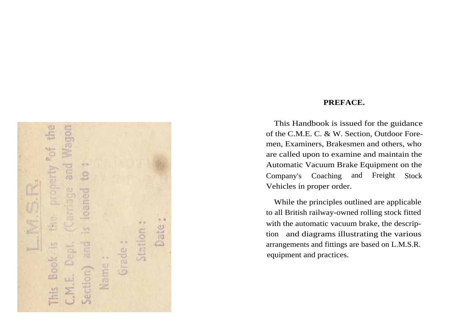mobe  $rac{4}{5}$ j. and  $\frac{1}{2}$ property  $\mathcal{Q}$ œ  $\frac{dV}{dV}$ paned 5  $u - u$  $\theta$ £ Date  $\mathbb{R}$ Station  $\ddot{v}$  $\frac{1}{100}$ E Grade **Borne** Book. Dei **RU** Name: ection) M.E. Sig-

# **PREFACE.**

This Handbook is issued for the guidance of the C.M.E. C. & W. Section, Outdoor Foremen, Examiners, Brakesmen and others, who are called upon to examine and maintain the Automatic Vacuum Brake Equipment on the Company's Coaching and Freight Stock Vehicles in proper order.

While the principles outlined are applicable to all British railway-owned rolling stock fitted with the automatic vacuum brake, the description and diagrams illustrating the various arrangements and fittings are based on L.M.S.R. equipment and practices.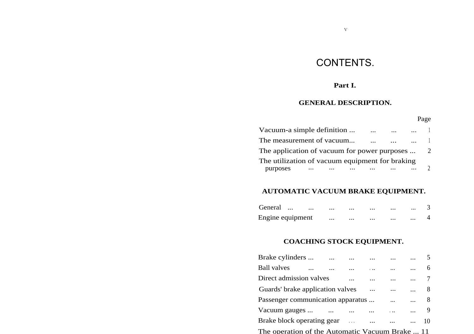# CONTENTS.

V

# **Part I.**

# **GENERAL DESCRIPTION.**

| Vacuum-a simple definition                                  | $\cdots$ |  |              |
|-------------------------------------------------------------|----------|--|--------------|
| The measurement of vacuum                                   |          |  | $\mathbf{1}$ |
| The application of vacuum for power purposes                |          |  | 2            |
| The utilization of vacuum equipment for braking<br>purposes |          |  |              |

# **AUTOMATIC VACUUM BRAKE EQUIPMENT.**

| General          |  | <br> | $\cdots$ | $\cdots$ | $\cdots$ |  |
|------------------|--|------|----------|----------|----------|--|
| Engine equipment |  | <br> | $\cdots$ | $\cdots$ | $\cdots$ |  |

# **COACHING STOCK EQUIPMENT.**

| Brake cylinders                                 |           |                         |          |          |          |    |
|-------------------------------------------------|-----------|-------------------------|----------|----------|----------|----|
| Ball valves                                     |           |                         |          |          |          | 6  |
| Direct admission valves                         |           |                         |          |          |          |    |
| Guards' brake application valves                |           |                         |          |          |          | 8  |
| Passenger communication apparatus               |           |                         |          | $\cdots$ | $\cdots$ | 8  |
| Vacuum gauges                                   | $\ddotsc$ |                         |          |          |          | 9  |
| Brake block operating gear                      |           | <b>Carlos Committee</b> | $\cdots$ |          |          | 10 |
| The operation of the Automatic Vacuum Brake  11 |           |                         |          |          |          |    |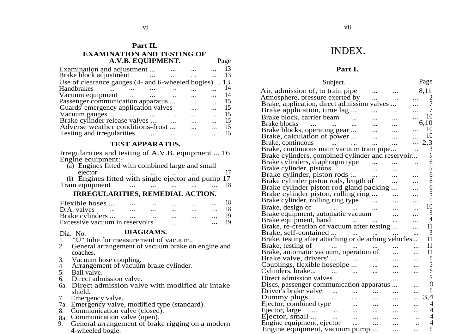#### **Part IL**

#### **EXAMINATION AND TESTING OF A.V.B. EQUIPMENT.** Page

| Examination and adjustment<br>Brake block adjustment  |          | 13<br>13 |
|-------------------------------------------------------|----------|----------|
|                                                       |          |          |
| Use of clearance gauges (4- and 6-wheeled bogies)  13 |          |          |
| Handbrakes                                            |          | 14       |
| Vacuum equipment                                      |          | 14       |
| Passenger communication apparatus                     | $\cdots$ | 15       |
| Guards' emergency application valves                  |          | 15       |
| Vacuum gauges                                         |          | 15       |
| Brake cylinder release valves                         |          | 15       |
| Adverse weather conditions-frost                      |          | 15       |
| Testing and irregularities                            |          | 15       |

#### **TEST APPARATUS.**

Irregularities and testing of A.V.B. equipment ... 16 Engine equipment:-

| (a) Engines fitted with combined large and small   |          |              |          |          |  |
|----------------------------------------------------|----------|--------------|----------|----------|--|
| ejector                                            |          |              | $\cdots$ |          |  |
| (b) Engines fitted with single ejector and pump 17 |          |              |          |          |  |
| Train equipment                                    | $\cdots$ | <br>$\cdots$ | $\cdots$ | $\cdots$ |  |

#### **IRREGULARITIES, REMEDIAL ACTION.**

| Flexible hoses                 | $\cdots$ | $\cdots$ |          | $\cdots$ | $\cdots$ | 18 |
|--------------------------------|----------|----------|----------|----------|----------|----|
| D.A. valves<br>$\cdots$        | $\cdots$ | $\cdots$ | $\cdots$ | $\cdots$ | $\cdots$ | 18 |
| Brake cylinders                |          | $\cdots$ | $\cdots$ | $\cdots$ | $\cdots$ | 19 |
| Excessive vacuum in reservoirs |          |          |          |          | $\cdots$ | 19 |

# Dia. No. **DIAGRAMS.**

1. "U" tube for measurement of vacuum.

- 2. General arrangement of vacuum brake on engine and coaches.
- 
- 3. Vacuum hose coupling. 4. Arrangement of vacuum brake cylinder.
- 5. Ball valve.
- 6. Direct admission valve.
- 6a. Direct admission valve with modified air intake shield.
- 7. Emergency valve.
- 7a. Emergency valve, modified type (standard). 8. Communication valve (closed).
- 
- 8a. Communication valve (open).
- 9. General arrangement of brake rigging on a modern 4-wheeled bogie.

# INDEX.

#### **Part I.**

| Subject.                                                                       |                      |          |          |   | Page           |
|--------------------------------------------------------------------------------|----------------------|----------|----------|---|----------------|
| Air, admission of, to train pipe                                               |                      |          |          |   | 8.11           |
| Atmosphere, pressure exerted by                                                |                      | $\cdots$ |          |   | 2              |
| Brake, application, direct admission valves                                    |                      |          |          |   | $\overline{7}$ |
| Brake application, time lag                                                    |                      |          |          |   | 7              |
| Brake block, carrier beam                                                      |                      |          |          |   | 10             |
| <b>Brake blocks</b><br>$\mathbf{u}$ and $\mathbf{u}$ and $\mathbf{u}$          |                      |          |          |   | 6,10           |
| Brake blocks, operating gear                                                   |                      |          |          |   | 10             |
| Brake, calculation of power                                                    |                      | .        |          |   | 10             |
| Brake, continuous<br>فتوارث المتوارد                                           |                      |          |          |   | .3<br>2.       |
| Brake, continuous main vacuum train pipe                                       |                      |          |          |   | 3              |
| Brake cylinders, combined cylinder and reservoir                               |                      |          |          |   | 5              |
| Brake cylinders, diaphragm type                                                | $\sim$ $\sim$        |          |          |   | 6              |
| Brake cylinder, pistons<br><b>Contract Contract</b>                            |                      |          |          |   | 5              |
| Brake cylinder, piston rods                                                    |                      | .        |          |   | 6              |
| Brake cylinder piston rods, length of                                          |                      |          | $\cdots$ |   | 6              |
| Brake cylinder piston rod gland packing                                        |                      |          |          |   | 6              |
| Brake cylinder piston, rolling ring                                            |                      |          |          |   | 5              |
| Brake cylinder, rolling ring type                                              |                      |          |          |   | 5              |
| Brake, design of<br>and the company of the company                             |                      | .        |          |   | 10             |
| Brake equipment, automatic vacuum                                              |                      |          |          |   | 3              |
| Brake equipment, hand                                                          | and the contract and |          |          |   | 4              |
| Brake, re-creation of vacuum after testing                                     |                      |          |          |   | 11             |
| Brake, self-contained                                                          |                      |          |          |   | 3              |
| Brake, testing after attaching or detaching vehicles                           |                      |          |          |   | 11             |
| Brake, testing of<br>$\mathcal{L}^{\text{max}}$ and $\mathcal{L}^{\text{max}}$ |                      |          |          |   | 11             |
| Brake, automatic vacuum, operation of                                          |                      |          |          |   | 11             |
| Brake valve, drivers'                                                          |                      | $\cdots$ |          |   | 5              |
| Couplings, flexible hosepipe                                                   |                      |          |          |   | $\overline{3}$ |
| Cylinders, brake<br>$\cdots$ $\cdots$                                          |                      |          |          |   | $\overline{5}$ |
| Direct admission valves                                                        |                      |          |          |   | $\overline{7}$ |
| Discs, passenger communication apparatus                                       |                      |          |          |   | 9              |
| Driver's brake valve                                                           |                      |          |          |   | 5              |
| Dummy plugs<br>$\cdots$                                                        |                      |          |          |   | 3,4            |
| Ejector, combined type                                                         |                      |          |          |   | 4              |
| Ejector, large                                                                 |                      |          |          |   | 4              |
| $\sim$ $\sim$<br>Ejector, small<br>$\cdots$                                    |                      |          |          |   | 4              |
| Engine equipment, ejector                                                      |                      | $\cdots$ | $\cdots$ |   | 4              |
| Engine equipment, vacuum pump                                                  |                      |          | $\cdots$ | . | 5              |
|                                                                                |                      |          |          |   |                |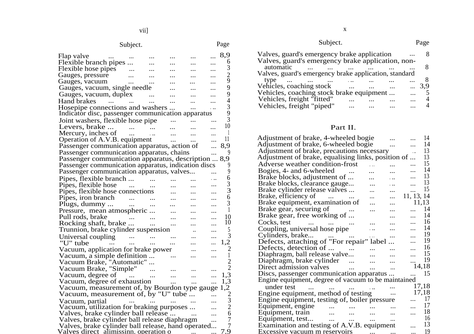|                                                                                       | Subject. |               |           |           | Page           |
|---------------------------------------------------------------------------------------|----------|---------------|-----------|-----------|----------------|
| Flap valve<br>$\cdots$                                                                |          |               |           |           | 8,9            |
| Flexible branch pipes                                                                 |          |               |           |           | 6              |
| Flexible hose pipes                                                                   |          |               |           |           | 3              |
| Gauges, pressure                                                                      |          |               |           |           |                |
| Gauges, vacuum                                                                        |          |               |           |           | $\frac{2}{9}$  |
| Gauges, vacuum, single needle                                                         |          |               |           |           | 9              |
| Gauges, vacuum, duplex                                                                |          |               |           |           | $\overline{9}$ |
|                                                                                       |          |               |           |           | $\overline{4}$ |
| Hand brakes<br>                                                                       | $\cdots$ |               |           |           | $\overline{3}$ |
| Hosepipe connections and washers<br>Indicator disc, passenger communication apparatus |          |               |           |           | $\frac{9}{3}$  |
| Joint washers, flexible hose pipe                                                     |          |               |           |           |                |
| Levers, brake                                                                         |          | $\cdots$      |           |           | 10             |
| Mercury, inches of                                                                    |          | .             |           |           |                |
| Operation of A.V.B. equipment                                                         |          |               | $\ddotsc$ |           | 11             |
| Passenger communication apparatus, action of                                          |          |               |           |           | 8.9            |
| Passenger communication apparatus, chains                                             |          |               |           |           | 9              |
| Passenger communication apparatus, description  8,9                                   |          |               |           |           |                |
| Passenger communication apparatus, indication discs                                   |          |               |           |           | 9              |
| Passenger communication apparatus, valves                                             |          |               |           |           | 9              |
|                                                                                       |          |               |           |           | 6              |
| Pipes, flexible branch                                                                |          | $\sim$ $\sim$ |           |           |                |
| Pipes, flexible hose                                                                  |          |               |           |           | $\frac{3}{3}$  |
| Pipes, flexible hose connections                                                      |          |               |           |           |                |
| Pipes, iron branch                                                                    | $\cdots$ |               |           |           | 6              |
| Plugs, dummy                                                                          | $\ldots$ |               |           | $\ddotsc$ | 3              |
| Pressure, mean atmospheric                                                            |          |               |           |           | 1              |
| Pull rods, brake                                                                      |          |               |           |           | 10             |
| Rocking shaft, brake                                                                  |          |               |           | .         | 10             |
| Trunnion, brake cylinder suspension                                                   |          |               |           |           | 5              |
| Universal coupling                                                                    |          |               |           |           | 3              |
| "U" tube<br>$\cdots$                                                                  |          |               |           | .         | 1.2            |
| Vacuum, application for brake power                                                   |          |               |           |           | 2              |
| Vacuum, a simple definition                                                           |          |               |           |           | 1              |
| Vacuum Brake, "Automatic"                                                             |          |               |           |           | $\overline{c}$ |
| Vacuum Brake, "Simple"                                                                |          |               |           |           | $\overline{2}$ |
| Vacuum, degree of                                                                     | $\sim$   | $\ddotsc$     | $\cdots$  |           | 1.3            |
| Vacuum, degree of exhaustion                                                          |          |               | $\cdots$  |           | 1,3            |
| Vacuum, measurement of, by Bourdon type gauge                                         |          |               |           | <br>.     | 2<br>1,        |
| Vacuum, measurement of, by "U" tube                                                   |          |               |           |           |                |
|                                                                                       |          |               |           |           | 3              |
| Vacuum, partial                                                                       |          | $\cdots$      |           |           |                |
| Vacuum, utilization for braking purposes                                              |          |               |           |           | 6              |
| Valves, brake cylinder ball release                                                   |          |               |           | .         | 7              |
| Valves, brake cylinder ball release diaphragm                                         |          |               |           |           |                |
| Valves, brake cylinder ball release, hand operated                                    |          |               |           |           | .9             |
| Valves direct alimissinn, operation o                                                 |          |               |           |           |                |

| Subject.                                                       |     |  |  |  |
|----------------------------------------------------------------|-----|--|--|--|
| Valves, guard's emergency brake application                    |     |  |  |  |
| Valves, guard's emergency brake application, non-<br>automatic |     |  |  |  |
| Valves, guard's emergency brake application, standard          |     |  |  |  |
| type<br>Vehicles, coaching stock                               | 3.9 |  |  |  |
| Vehicles, coaching stock brake equipment                       |     |  |  |  |
| Vehicles, freight "fitted"                                     |     |  |  |  |
| Vehicles, freight "piped"                                      |     |  |  |  |

# Part II.

| Adjustment of brake, 4-wheeled bogie                          | 14             |  |
|---------------------------------------------------------------|----------------|--|
| Adjustment of brake, 6-wheeled bogie                          | 14             |  |
| Adjustment of brake, precautions necessary                    | 13<br>. .      |  |
| Adjustment of brake, equalising links, position of            | 13             |  |
| Adverse weather condition-frost                               | 15             |  |
| Bogies, 4- and 6-wheeled                                      | 14             |  |
| Brake blocks, adjustment of                                   | 13             |  |
| Brake blocks, clearance gauge                                 | 13             |  |
| Brake cylinder release valves                                 | 15             |  |
| Brake, efficiency of<br>$\sim$ $\sim$ $\sim$ $\sim$           | 11, 13, 14     |  |
| Brake equipment, examination of                               | 11,13          |  |
| Brake gear, securing of                                       | 14             |  |
| Brake gear, free working of<br>                               | 14<br>$\cdots$ |  |
| Cocks, test                                                   | 16             |  |
| Coupling, universal hose pipe                                 | 14             |  |
| Cylinders, brake<br>                                          | 19             |  |
| Defects, attaching of "For repair" label                      | 19<br>.        |  |
| Defects, detection of                                         | 16<br>.        |  |
| Diaphragm, ball release valve                                 | 15             |  |
| Diaphragm, brake cylinder<br>$\sim$                           | 19             |  |
| Direct admission valves<br>$\ddotsc$<br>$\ddotsc$<br>$\cdots$ | 14,18          |  |
| Discs, passenger communication apparatus                      | 15             |  |
| Engine equipment, degree of vacuum to be maintained           |                |  |
| under test                                                    | 17,18          |  |
| Engine equipment, method of testing                           | 17,18          |  |
| Engine equipment, testing of, boiler pressure                 | 17             |  |
| Equipment, engine.                                            | 17             |  |
| Equipment, train<br>$\cdots$                                  | 18<br>.        |  |
| Equipment, test<br><br>                                       | 16             |  |
| Examination and testing of A.V.B. equipment                   | 13             |  |
| Excessive vacuum m reservoirs                                 | 19             |  |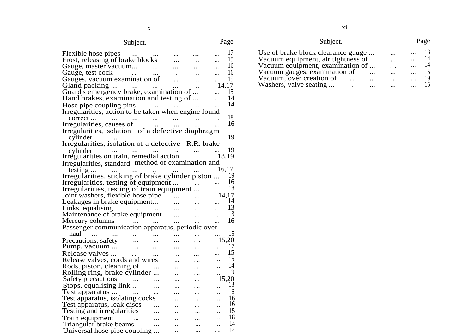# Subject. Page

| Flexible hose pipes<br><b>Contract Contract</b>      | $\ldots$                 |                         | .                        |          | 17    |
|------------------------------------------------------|--------------------------|-------------------------|--------------------------|----------|-------|
| Frost, releasing of brake blocks                     |                          |                         | .                        |          | 15    |
| Gauge, master vacuum                                 | $\sim$ $\sim$            |                         | $\cdots$                 | $\cdots$ | 16    |
| Gauge, test cock<br><b>Contractor</b>                | $\ldots$                 |                         | $\cdots$                 |          | 16    |
| Gauges, vacuum examination of                        |                          |                         | .                        |          | 15    |
| Gland packing<br>المناول المتناولين                  |                          | $\cdots$                |                          | 14.17    |       |
| Guard's emergency brake, examination of              |                          |                         |                          |          | 15    |
| Hand brakes, examination and testing of              |                          |                         |                          |          | 14    |
| Hose pipe coupling pins                              | منادر المتكافئ المتكارين |                         |                          |          | 14    |
| Irregularities, action to be taken when engine found |                          |                         |                          |          |       |
|                                                      | $\cdots$                 |                         |                          |          | 18    |
| correct<br>Irregularities, causes of                 | $\cdots$                 | $\cdots$                |                          |          | 16    |
| Irregularities, isolation of a defective diaphragm   |                          |                         |                          |          |       |
| cylinder                                             |                          |                         |                          |          | 19    |
| Irregularities, isolation of a defective R.R. brake  |                          |                         |                          |          |       |
| cylinder<br>$\cdots$<br>$\cdots$                     |                          | $\sim 100$ km s $^{-1}$ | $\cdots$                 |          | 19    |
| Irregularities on train, remedial action             |                          |                         |                          | 18.19    |       |
| Irregularities, standard method of examination and   |                          |                         |                          |          |       |
| testing<br>$\cdots$<br>$\ldots$                      | فقفان المتلاب المناد     |                         |                          | 16,17    |       |
| Irregularities, sticking of brake cylinder piston    |                          |                         |                          |          | 19    |
| Irregularities, testing of equipment                 |                          |                         | <b>Contract Contract</b> | $\cdots$ | 16    |
| Irregularities, testing of train equipment           |                          |                         |                          |          | 18    |
| Joint washers, flexible hose pipe                    |                          | $\sim$                  |                          |          | 14,17 |
| Leakages in brake equipment                          |                          | $\cdots$                | $\cdots$                 |          | 14    |
| Links, equalising<br>للمراد المترادي                 |                          |                         | $\cdots$                 |          | 13    |
| Maintenance of brake equipment                       |                          |                         | $\cdots$                 |          | 13    |
| Mercury columns                                      | المتراد المترادين        |                         |                          |          | 16    |
| Passenger communication apparatus, periodic over-    |                          |                         |                          |          |       |
| haul<br>$\sim 100$<br>$\ldots$                       |                          |                         |                          | .        | 15    |
| Precautions, safety<br>$\ddots$                      | $\ddotsc$                | .                       | .                        | 15,20    |       |
| Pump, vacuum<br>$\cdots$                             | .                        |                         |                          |          | 17    |
| Release valves<br>$\sim$                             |                          |                         |                          | $\cdots$ | 15    |
| Release valves, cords and wires                      |                          | $\ddotsc$               | $\ddot{\phantom{0}}$     | $\cdots$ | 15    |
| Rods, piston, cleaning of                            |                          |                         | .                        |          | 14    |
| Rolling ring, brake cylinder                         |                          |                         | .                        |          | 19    |
| Safety precautions                                   |                          |                         |                          |          | 15,20 |
| Stops, equalising link                               | .                        |                         | .                        |          | 13    |
| Test apparatus                                       |                          | .                       | $\cdots$                 | $\cdots$ | 16    |
| Test apparatus, isolating cocks                      |                          |                         | $\cdots$                 |          | 16    |
| Test apparatus, leak discs                           |                          |                         |                          |          | 16    |
| Testing and irregularities                           |                          |                         | $\cdots$                 |          | 15    |
| Train equipment<br>$\cdots$                          |                          |                         | .                        |          | 18    |
| Triangular brake beams                               |                          |                         |                          |          | 14    |
| Universal hose pipe coupling                         |                          |                         |                          | .        | 14    |

| Subject.                           |          | Page |
|------------------------------------|----------|------|
| Use of brake block clearance gauge | $\cdots$ | 13   |
| Vacuum equipment, air tightness of | $\cdot$  | 14   |
| Vacuum equipment, examination of   | $\sim$   | 14   |
| Vacuum gauges, examination of      |          | 15   |
| Vacuum, over creation of<br>       |          | 19   |
| Washers, valve seating             |          |      |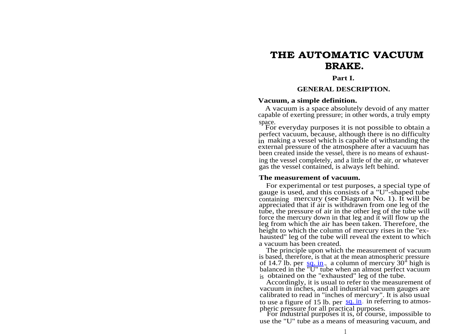# **THE AUTOMATIC VACUUM BRAKE.**

#### **Part I.**

#### **GENERAL DESCRIPTION.**

#### **Vacuum, a simple definition.**

A vacuum is a space absolutely devoid of any matter capable of exerting pressure; in other words, a truly empty space.

For everyday purposes it is not possible to obtain a perfect vacuum, because, although there is no difficulty in making a vessel which is capable of withstanding the external pressure of the atmosphere after a vacuum has been created inside the vessel, there is no means of exhausting the vessel completely, and a little of the air, or whatever gas the vessel contained, is always left behind.

#### **The measurement of vacuum.**

For experimental or test purposes, a special type of gauge is used, and this consists of a "U"-shaped tube containing mercury (see Diagram No. 1). It will be appreciated that if air is withdrawn from one leg of the tube, the pressure of air in the other leg of the tube will force the mercury down in that leg and it will flow up the leg from which the air has been taken. Therefore, the height to which the column of mercury rises in the "exhausted" leg of the tube will reveal the extent to which a vacuum has been created.

The principle upon which the measurement of vacuum is based, therefore, is that at the mean atmospheric pressure of 14.7 lb. per [sq. in](http://sq.in)., a column of mercury  $30^{\circ}$  high is balanced in the "U" tube when an almost perfect vacuum is obtained on the "exhausted" leg of the tube.

Accordingly, it is usual to refer to the measurement of vacuum in inches, and all industrial vacuum gauges are calibrated to read in "inches of mercury". It is also usual to use a figure of 15 lb. per  $\frac{sq \text{ in}}{sq \text{ in}}$  in referring to atmospheric pressure for all practical purposes.

For industrial purposes it is, of course, impossible to use the "U" tube as a means of measuring vacuum, and 1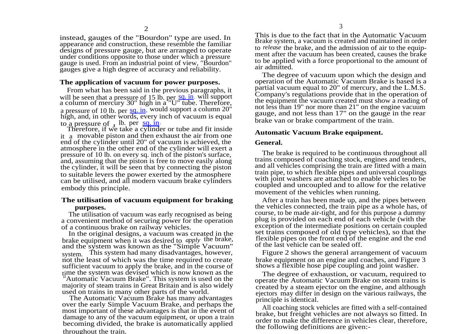instead, gauges of the "Bourdon" type are used. In appearance and construction, these resemble the familiar designs of pressure gauge, but are arranged to operate under conditions opposite to those under which a pressure gauge is used. From an industrial point of view, "Bourdon" gauges give a high degree of accuracy and reliability.

#### **The application of vacuum for power purposes.**

From what has been said in the previous paragraphs, it will be seen that a pressure of 15 lb. per [sq. in](http://sq.in). will support a column of mercury 30" high in a "U" tube. Therefore, a pressure of 10 lb. per [sq. in](http://sq.in). would support a column 20" high, and, in other words, every inch of vacuum is equal to a pressure of  $J$  lb. per  $\frac{sq \cdot in}{q}$ 

Therefore, if we take a cylinder or tube and fit inside it a movable piston and then exhaust the air from one end of the cylinder until 20" of vacuum is achieved, the atmosphere in the other end of the cylinder will exert a pressure of 10 lb. on every sq. inch of the piston's surface, and, assuming that the piston is free to move easily along the cylinder, it will be seen that by connecting the piston to suitable levers the power exerted by the atmosphere can be utilised, and all modern vacuum brake cylinders embody this principle.

#### **The utilisation of vacuum equipment for braking purposes.**

The utilisation of vacuum was early recognised as being a convenient method of securing power for the operation of a continuous brake on railway vehicles.

In the original designs, a vacuum was created in the brake equipment when it was desired to *apply* the brake, and the system was known as the "Simple Vacuum" system. This system had many disadvantages, however, not the least of which was the time required to create sufficient vacuum to apply the brake, and in the course of time the system was devised which is now known as the "Automatic Vacuum Brake". This system is used on the majority of steam trains in Great Britain and is also widely used on trains in many other parts of the world.

The Automatic Vacuum Brake has many advantages over the early Simple Vacuum Brake, and perhaps the most important of these advantages is that in the event of damage to any of the vacuum equipment, or upon a train becoming divided, the brake is automatically applied throughout the train.

This is due to the fact that in the Automatic Vacuum Brake system, a vacuum is created and maintained in order to *release* the brake, and the admission of air to the equipment after the vacuum has been created, causes the brake to be applied with a force proportional to the amount of air admitted.

The degree of vacuum upon which the design and operation of the Automatic Vacuum Brake is based is a partial vacuum equal to 20" of mercury, and the L.M.S. Company's regulations provide that in the operation of the equipment the vacuum created must show a reading of not less than 19" nor more than 21" on the engine vacuum gauge, and not less than 17" on the gauge in the rear brake van or brake compartment of the train.

#### **Automatic Vacuum Brake equipment.**

#### **General.**

The brake is required to be continuous throughout all trains composed of coaching stock, engines and tenders, and all vehicles comprising the train are fitted with a main train pipe, to which flexible pipes and universal couplings with joint washers are attached to enable vehicles to be coupled and uncoupled and to allow for the relative movement of the vehicles when running.

After a train has been made up, and the pipes between the vehicles connected, the train pipe as a whole has, of course, to be made air-tight, and for this purpose a dummy plug is provided on each end of each vehicle (with the exception of the intermediate positions on certain coupled set trains composed of old type vehicles), so that the flexible pipes on the front end of the engine and the end of the last vehicle can be sealed off.

Figure 2 shows the general arrangement of vacuum brake equipment on an engine and coaches, and Figure 3 shows a flexible hose pipe coupling and joint washer.

The degree of exhaustion, or vacuum, required to operate the Automatic Vacuum Brake on steam trains is created by a steam ejector on the engine, and although ejectors may differ in design on the various railways, the principle is identical.

All coaching stock vehicles are fitted with a self-contained brake, but freight vehicles are not always so fitted. In order to make the difference in vehicles clear, therefore, the following definitions are given:-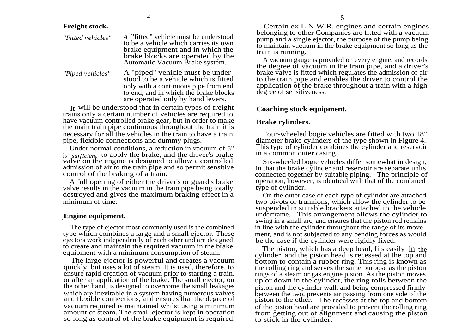#### **Freight stock.**

| "Fitted vehicles" | A "fitted" vehicle must be understood<br>to be a vehicle which carries its own<br>brake equipment and in which the<br>brake blocks are operated by the<br>Automatic Vacuum Brake system. |
|-------------------|------------------------------------------------------------------------------------------------------------------------------------------------------------------------------------------|
| "Piped vehicles"  | A "piped" vehicle must be under-<br>stood to be a vehicle which is fitted                                                                                                                |

stood to be a vehicle which is fitted only with a continuous pipe from end to end, and in which the brake blocks are operated only by hand levers.

It will be understood that in certain types of freight trains only a certain number of vehicles are required to have vacuum controlled brake gear, but in order to make the main train pipe continuous throughout the train it is necessary for all the vehicles in the train to have a train pipe, flexible connections and dummy plugs.

Under normal conditions, a reduction in vacuum of 5" is *sufficient* to apply the brake, and the driver's brake valve on the engine is designed to allow a controlled admission of air to the train pipe and so permit sensitive control of the braking of a train.

A full opening of either the driver's or guard's brake valve results in the vacuum in the train pipe being totally destroyed and gives the maximum braking effect in a minimum of time.

#### ,**Engine equipment.**

The type of ejector most commonly used is the combined type which combines a large and a small ejector. These ejectors work independently of each other and are designed to create and maintain the required vacuum in the brake equipment with a minimum consumption of steam.

The large ejector is powerful and creates a vacuum quickly, but uses a lot of steam. It is used, therefore, to ensure rapid creation of vacuum prior to starting a train, or after an application of the brake. The small ejector, on the other hand, is designed to overcome the small leakages which are inevitable in a system having numerous valves and flexible connections, and ensures that the degree of vacuum required is maintained whilst using a minimum amount of steam. The small ejector is kept in operation so long as control of the brake equipment is required.

Certain ex L.N.W.R. engines and certain engines belonging to other Companies are fitted with a vacuum pump and a single ejector, the purpose of the pump being to maintain vacuum in the brake equipment so long as the train is running.

A vacuum gauge is provided on every engine, and records the degree of vacuum in the train pipe, and a driver's brake valve is fitted which regulates the admission of air to the train pipe and enables the driver to control the application of the brake throughout a train with a high degree of sensitiveness.

#### **Coaching stock equipment.**

#### **Brake cylinders.**

Four-wheeled bogie vehicles are fitted with two 18" diameter brake cylinders of the type shown in Figure 4. This type of cylinder combines the cylinder and reservoir in a common outer casing.

Six-wheeled bogie vehicles differ somewhat in design, in that the brake cylinder and reservoir are separate units connected together by suitable piping. The principle of operation, however, is identical with that of the combined type of cylinder.

On the outer case of each type of cylinder are attached two pivots or trunnions, which allow the cylinder to be suspended in suitable brackets attached to the vehicle underframe. This arrangement allows the cylinder to swing in a small arc, and ensures that the piston rod remains in line with the cylinder throughout the range of its movement, and is not subjected to any bending forces as would be the case if the cylinder were rigidly fixed.

The piston, which has a deep head, fits easily in the cylinder, and the piston head is recessed at the top and bottom to contain a rubber ring. This ring is known as the rolling ring and serves the same purpose as the piston rings of a steam or gas engine piston. As the piston moves up or down in the cylinder, the ring rolls between the piston and the cylinder wall, and being compressed firmly between the two, prevents air passing from one side of the piston to the other. The recesses at the top and bottom of the piston head are provided to prevent the rolling ring from getting out of alignment and causing the piston to stick in the cylinder.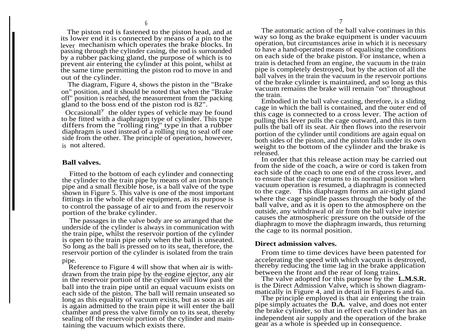The piston rod is fastened to the piston head, and at its lower end it is connected by means of a pin to the lever mechanism which operates the brake blocks. In passing through the cylinder casing, the rod is surrounded by a rubber packing gland, the purpose of which is to prevent air entering the cylinder at this point, whilst at the same time permitting the piston rod to move in and out of the cylinder.

The diagram, Figure 4, shows the piston in the "Brake on" position, and it should be noted that when the "Brake off" position is reached, the measurement from the packing gland to the boss end of the piston rod is 82".

 $\alpha$  of the older types of vehicle may be found to be fitted with a diaphragm type of cylinder. This type differs from the "rolling ring" type in that a rubber diaphragm is used instead of a rolling ring to seal off one side from the other. The principle of operation, however, is not altered.

#### **Ball valves.**

Fitted to the bottom of each cylinder and connecting the cylinder to the train pipe by means of an iron branch pipe and a small flexible hose, is a ball valve of the type shown in Figure 5. This valve is one of the most important fittings in the whole of the equipment, as its purpose is to control the passage of air to and from the reservoir portion of the brake cylinder.

The passages in the valve body are so arranged that the underside of the cylinder is always in communication with the train pipe, whilst the reservoir portion of the cylinder is open to the train pipe only when the ball is unseated. So long as the ball is pressed on to its seat, therefore, the reservoir portion of the cylinder is isolated from the train pipe.

Reference to Figure 4 will show that when air is withdrawn from the train pipe by the engine ejector, any air in the reservoir portion of the cylinder will flow past the ball into the train pipe until an equal vacuum exists on each side of the piston. The ball will remain unseated so long as this equality of vacuum exists, but as soon as air is again admitted to the train pipe it will enter the ball chamber and press the valve firmly on to its seat, thereby sealing off the reservoir portion of the cylinder and maintaining the vacuum which exists there.

The automatic action of the ball valve continues in this way so long as the brake equipment is under vacuum operation, but circumstances arise in which it is necessary to have a hand-operated means of equalising the conditions on each side of the brake piston. For instance, when a train is detached from an engine, the vacuum in the train pipe is completely destroyed, but by the action of all the ball valves in the train the vacuum in the reservoir portions of the brake cylinder is maintained, and so long as this vacuum remains the brake will remain "on" throughout the train.

Embodied in the ball valve casting, therefore, is a sliding cage in which the ball is contained, and the outer end of this cage is connected to a cross lever. The action of pulling this lever pulls the cage outward, and this in turn pulls the ball off its seat. Air then flows into the reservoir portion of the cylinder until conditions are again equal on both sides of the piston, and the piston falls under its own weight to the bottom of the cylinder and the brake is released.

In order that this release action may be carried out from the side of the coach, a wire or cord is taken from each side of the coach to one end of the cross lever, and to ensure that the cage returns to its normal position when vacuum operation is resumed, a diaphragm is connected to the cage. This diaphragm forms an air-tight gland where the cage spindle passes through the body of the ball valve, and as it is open to the atmosphere on the outside, any withdrawal of air from the ball valve interior causes the atmospheric pressure on the outside of the diaphragm to move the diaphragm inwards, thus returning the cage to its normal position.

#### **Direct admission valves.**

From time to time devices have been patented for accelerating the speed with which vacuum is destroyed, thereby reducing the time lag in the brake application between the front and the rear of long trains.

The valve adopted for this purpose by the **L.M.S.R.** is the Direct Admission Valve, which is shown diagrammatically in Figure 4, and in detail in Figures 6 and 6a.

The principle employed is that air entering the train pipe simply actuates the **D.A.** valve, and does not enter the brake cylinder, so that in effect each cylinder has an independent air supply and the operation of the brake gear as a whole is speeded up in consequence.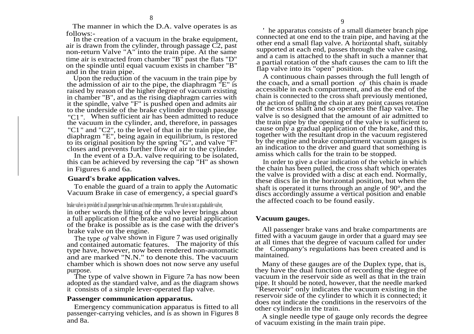The manner in which the D.A. valve operates is as follows:-

In the creation of a vacuum in the brake equipment, air is drawn from the cylinder, through passage C2, past non-return Valve "A" into the train pipe. At the same time air is extracted from chamber "B" past the flats "D" on the spindle until equal vacuum exists in chamber "B" and in the train pipe.

Upon the reduction of the vacuum in the train pipe by the admission of air to the pipe, the diaphragm "E" is raised by reason of the higher degree of vacuum existing in chamber "B", and as the rising diaphragm carries with it the spindle, valve "F" is pushed open and admits air to the underside of the brake cylinder through passage "C1". When sufficient air has been admitted to reduce the vacuum in the cylinder, and, therefore, in passages "C1" and "C2", to the level of that in the train pipe, the diaphragm "E", being again in equilibrium, is restored to its original position by the spring "G", and valve "F" closes and prevents further flow of air to the cylinder.

In the event of a D.A. valve requiring to be isolated, this can be achieved by reversing the cap "H" as shown in Figures 6 and 6a.

#### **Guard's brake application valves.**

To enable the guard of a train to apply the Automatic Vacuum Brake in case of emergency, a special guard's

brake valve is provided in all passenger brake vans and brake compartments. The valve is not a graduable valve, in other words the lifting of the valve lever brings about a full application of the brake and no partial application of the brake is possible as is the case with the driver's brake valve on the engine.

The type *of* valve shown in Figure 7 was used originally and contained automatic features. The majority of this type have, however, now been rendered non-automatic and are marked "N.N." to denote this. The vacuum chamber which is shown does not now serve any useful purpose.

The type of valve shown in Figure 7a has now been adopted as the standard valve, and as the diagram shows it consists of a simple lever-operated flap valve.

#### **Passenger communication apparatus.**

Emergency communication apparatus is fitted to all passenger-carrying vehicles, and is as shown in Figures 8 and 8a.

 he apparatus consists of a small diameter branch pipe connected at one end to the train pipe, and having at the other end a small flap valve. A horizontal shaft, suitably supported at each end, passes through the valve casing, and a cam is attached to the shaft in such a manner that a partial rotation of the shaft causes the cam to lift the flap valve into its "open" position.

A continuous chain passes through the full length of the coach, and a small portion *of* this chain is made accessible in each compartment, and as the end of the chain is connected to the cross shaft previously mentioned, the action of pulling the chain at any point causes rotation of the cross shaft and so operates the flap valve. The valve is so designed that the amount of air admitted to the train pipe by the opening of the valve is sufficient to cause only a gradual application of the brake, and this, together with the resultant drop in the vacuum registered by the engine and brake compartment vacuum gauges is an indication to the driver and guard that something is amiss which calls for the train to be stopped.

In order to give a clear indication of the vehicle in which the chain has been pulled, the cross shaft which operates the valve is provided with a disc at each end. Normally, these discs lie in the horizontal position, but when the shaft is operated it turns through an angle of 90°, and the discs accordingly assume a vertical position and enable the affected coach to be found easily.

#### **Vacuum gauges.**

All passenger brake vans and brake compartments are fitted with a vacuum gauge in order that a guard may see at all times that the degree of vacuum called for under the Company's regulations has been created and is maintained.

Many of these gauges are of the Duplex type, that is, they have the dual function of recording the degree of vacuum in the reservoir side as well as that in the train pipe. It should be noted, however, that the needle marked "Reservoir" only indicates the vacuum existing in the reservoir side of the cylinder to which it is connected; it does not indicate the conditions in the reservoirs of the other cylinders in the train.

A single needle type of gauge only records the degree of vacuum existing in the main train pipe.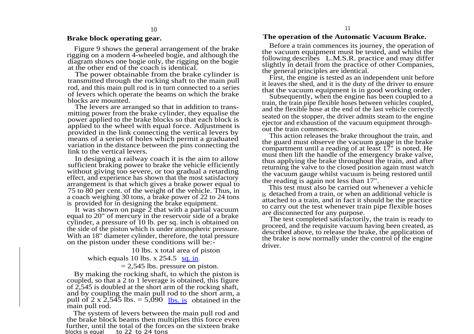### **Brake block operating gear.**

Figure 9 shows the general arrangement of the brake rigging on a modern 4-wheeled bogie, and although the diagram shows one bogie only, the rigging on the bogie at the other end of the coach is identical.

The power obtainable from the brake cylinder is transmitted through the rocking shaft to the main pull rod, and this main pull rod is in turn connected to a series of levers which operate the beams on which the brake blocks are mounted.

The levers are arranged so that in addition to transmitting power from the brake cylinder, they equalise the power applied to the brake blocks so that each block is applied to the wheel with equal force. Adjustment is provided in the link connecting the vertical levers by means of a series of holes which permit a graduated variation in the distance between the pins connecting the link to the vertical levers.

In designing a railway coach it is the aim to allow sufficient braking power to brake the vehicle efficiently without giving too severe, or too gradual a retarding effect, and experience has shown that the most satisfactory arrangement is that which gives a brake power equal to 75 to 80 per cent. of the weight of the vehicle. Thus, in a coach weighing 30 tons, a brake power of 22 to 24 tons is provided for in designing the brake equipment.

It was shown on page  $\overline{2}$  that with a partial vacuum equal to 20" of mercury in the reservoir side of a brake cylinder, a pressure of 10 lb. per sq. inch is obtained on the side of the piston which is under atmospheric pressure. With an 18" diameter cylinder, therefore, the total pressure on the piston under these conditions will be:-

10 lbs. x total area of piston

which equals 10 lbs.  $x$  254.5 [sq. in](http://sq.in).

 $= 2,545$  lbs. pressure on piston.

By making the rocking shaft, to which the piston is coupled, so that a 2 to 1 leverage is obtained, this figure of 2,545 is doubled at the short arm of the rocking shaft, and by coupling the main pull rod to the short arm, a pull of 2 x 2,545 lbs.  $= 5,090$  [lbs. is](http://lbs.is) obtained in the main pull rod.

The system of levers between the main pull rod and the brake block beams then multiplies this force even further, until the total of the forces on the sixteen brake blocks is equal to 22 to 24 tons

#### **The operation of the Automatic Vacuum Brake.**

Before a train commences its journey, the operation of the vacuum equipment must be tested, and whilst the following describes L.M.S.R. practice and may differ slightly in detail from the practice of other Companies, the general principles are identical.

First, the engine is tested as an independent unit before it leaves the shed, and it is the duty of the driver to ensure that the vacuum equipment is in good working order.

Subsequently, when the engine has been coupled to a train, the train pipe flexible hoses between vehicles coupled, and the flexible hose at the end of the last vehicle correctly seated on the stopper, the driver admits steam to the engine ejector and exhaustion of the vacuum equipment throughout the train commences.

This action releases the brake throughout the train, and the guard must observe the vacuum gauge in the brake compartment until a reading of at least 17" is noted. He must then lift the handle of the emergency brake valve, thus applying the brake throughout the train, and after returning the valve to the closed position again must watch the vacuum gauge whilst vacuum is being restored until the reading is again not less than 17".

This test must also be carried out whenever a vehicle is detached from a train, or when an additional vehicle is attached to a train, and in fact it should be the practice to carry out the test whenever train pipe flexible hoses are disconnected for any purpose.

The test completed satisfactorily, the train is ready to proceed, and the requisite vacuum having been created, as described above, to release the brake, the application of the brake is now normally under the control of the engine driver.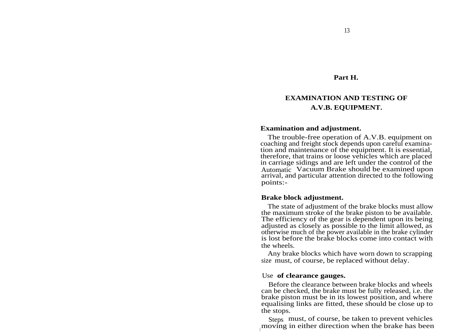#### **Part H.**

# **EXAMINATION AND TESTING OF A.V.B. EQUIPMENT.**

#### **Examination and adjustment.**

The trouble-free operation of A.V.B. equipment on coaching and freight stock depends upon careful examination and maintenance of the equipment. It is essential, therefore, that trains or loose vehicles which are placed in carriage sidings and are left under the control of the Automatic Vacuum Brake should be examined upon arrival, and particular attention directed to the following points:-

#### **Brake block adjustment.**

The state of adjustment of the brake blocks must allow the maximum stroke of the brake piston to be available. The efficiency of the gear is dependent upon its being adjusted as closely as possible to the limit allowed, as otherwise much of the power available in the brake cylinder is lost before the brake blocks come into contact with the wheels.

Any brake blocks which have worn down to scrapping size must, of course, be replaced without delay.

#### Use **of clearance gauges.**

Before the clearance between brake blocks and wheels can be checked, the brake must be fully released, i.e. the brake piston must be in its lowest position, and where equalising links are fitted, these should be close up to the stops.

Steps must, of course, be taken to prevent vehicles moving in either direction when the brake has been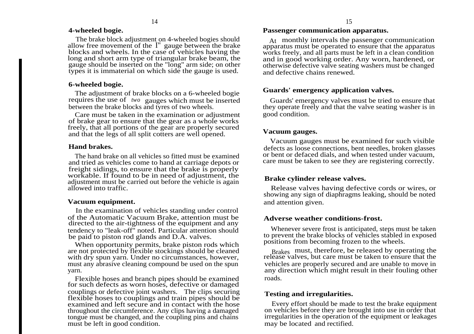#### **4-wheeled bogie.**

The brake block adjustment on 4-wheeled bogies should allow free movement of the I" gauge between the brake blocks and wheels. In the case of vehicles having the long and short arm type of triangular brake beam, the gauge should be inserted on the "long" arm side; on other types it is immaterial on which side the gauge is used.

#### **6-wheeled bogie.**

The adjustment of brake blocks on a 6-wheeled bogie requires the use of *two* gauges which must be inserted between the brake blocks and tyres of two wheels.

Care must be taken in the examination or adjustment of brake gear to ensure that the gear as a whole works freely, that all portions of the gear are properly secured and that the legs of all split cotters are well opened.

#### **Hand brakes.**

The hand brake on all vehicles so fitted must be examined and tried as vehicles come to hand at carriage depots or freight sidings, to ensure that the brake is properly workable. If found to be in need of adjustment, the adjustment must be carried out before the vehicle is again allowed into traffic.

#### **Vacuum equipment.**

In the examination of vehicles standing under control of the Automatic Vacuum Brake, attention must be directed to the air-tightness of the equipment and any tendency to "leak-off" noted. Particular attention should be paid to piston rod glands and D.A. valves.

When opportunity permits, brake piston rods which are not protected by flexible stockings should be cleaned with dry spun yarn. Under no circumstances, however, must any abrasive cleaning compound be used on the spun yarn.

Flexible hoses and branch pipes should be examined for such defects as worn hoses, defective or damaged couplings or defective joint washers. The clips securing flexible hoses to couplings and train pipes should be examined and left secure and in contact with the hose throughout the circumference. Any clips having a damaged tongue must be changed, and the coupling pins and chains must be left in good condition.

#### **Passenger communication apparatus.**

At monthly intervals the passenger communication apparatus must be operated to ensure that the apparatus works freely, and all parts must be left in a clean condition and in good working order. Any worn, hardened, or otherwise defective valve seating washers must be changed and defective chains renewed.

#### **Guards' emergency application valves.**

Guards' emergency valves must be tried to ensure that they operate freely and that the valve seating washer is in good condition.

### **Vacuum gauges.**

Vacuum gauges must be examined for such visible defects as loose connections, bent needles, broken glasses or bent or defaced dials, and when tested under vacuum, care must be taken to see they are registering correctly.

## **Brake cylinder release valves.**

Release valves having defective cords or wires, or showing any sign of diaphragms leaking, should be noted and attention given.

### **Adverse weather conditions-frost.**

Whenever severe frost is anticipated, steps must be taken to prevent the brake blocks of vehicles stabled in exposed positions from becoming frozen to the wheels.

Brakes must, therefore, be released by operating the release valves, but care must be taken to ensure that the vehicles are properly secured and are unable to move in any direction which might result in their fouling other roads.

## **Testing and irregularities.**

Every effort should be made to test the brake equipment on vehicles before they are brought into use in order that irregularities in the operation of the equipment or leakages may be located and rectified.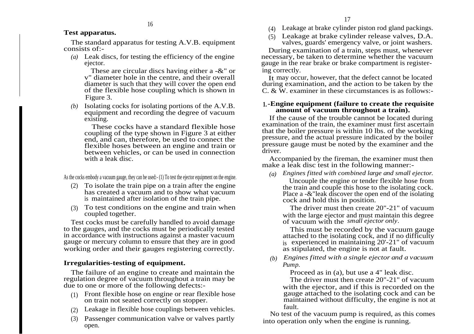### **Test apparatus.**

The standard apparatus for testing A.V.B. equipment consists of:-

16

*(a)* Leak discs, for testing the efficiency of the engine ejector.

These are circular discs having either a -&" or v" diameter hole in the centre, and their overall diameter is such that they will cover the open end of the flexible hose coupling which is shown in Figure 3.

*(b)* Isolating cocks for isolating portions of the A.V.B. equipment and recording the degree of vacuum existing.

These cocks have a standard flexible hose coupling of the type shown in Figure 3 at either end, and can, therefore, be used to connect the flexible hoses between an engine and train or between vehicles, or can be used in connection with a leak disc.

As the cocks embody a vacuum gauge, they can be used:- (1) To test the ejector equipment on the engine.

- (2) To isolate the train pipe on a train after the engine has created a vacuum and to show what vacuum is maintained after isolation of the train pipe.
- (3) To test conditions on the engine and train when coupled together.

Test cocks must be carefully handled to avoid damage to the gauges, and the cocks must be periodically tested in accordance with instructions against a master vacuum gauge or mercury column to ensure that they are in good working order and their gauges registering correctly.

## **Irregularities-testing of equipment.**

The failure of an engine to create and maintain the regulation degree of vacuum throughout a train may be due to one or more of the following defects:-

- (1) Front flexible hose on engine or rear flexible hose on train not seated correctly on stopper.
- (2) Leakage in flexible hose couplings between vehicles.
- (3) Passenger communication valve or valves partly open.

(4) Leakage at brake cylinder piston rod gland packings.

(5) Leakage at brake cylinder release valves, D.A. valves, guards' emergency valve, or joint washers.

During examination of a train, steps must, whenever necessary, be taken to determine whether the vacuum gauge in the rear brake or brake compartment is registering correctly.

It may occur, however, that the defect cannot be located during examination, and the action to be taken by the C. & W. examiner in these circumstances is as follows:-

#### **1.-Engine equipment (failure to create the requisite amount of vacuum throughout a train).**

If the cause of the trouble cannot be located during examination of the train, the examiner must first ascertain that the boiler pressure is within 10 lbs. of the working pressure, and the actual pressure indicated by the boiler pressure gauge must be noted by the examiner and the driver.

Accompanied by the fireman, the examiner must then make a leak disc test in the following manner:-

*(a) Engines fitted with combined large and small ejector.*

Uncouple the engine or tender flexible hose from the train and couple this hose to the isolating cock. Place a -&"leak discover the open end of the isolating cock and hold this in position.

The driver must then create 20"-21" of vacuum with the large ejector and must maintain this degree of vacuum with the *small ejector only.*

This must be recorded by the vacuum gauge attached to the isolating cock, and if no difficulty is experienced in maintaining 20'-21" of vacuum as stipulated, the engine is not at fault.

*(b) Engines fitted with a single ejector and a vacuum Pump.*

Proceed as in (a), but use a 4" leak disc.

The driver must then create 20"-21" of vacuum with the ejector, and if this is recorded on the gauge attached to the isolating cock and can be maintained without difficulty, the engine is not at fault.

No test of the vacuum pump is required, as this comes into operation only when the engine is running.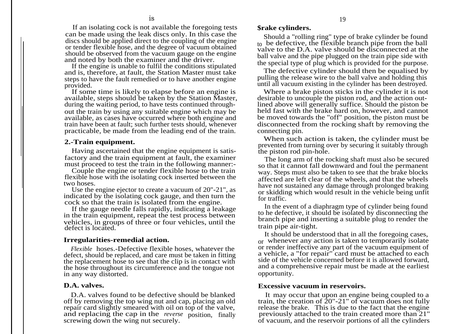If an isolating cock is not available the foregoing tests can be made using the leak discs only. In this case the discs should be applied direct to the coupling of the engine or tender flexible hose, and the degree of vacuum obtained should be observed from the vacuum gauge on the engine and noted by both the examiner and the driver.

If the engine is unable to fulfil the conditions stipulated and is, therefore, at fault, the Station Master must take steps to have the fault remedied or to have another engine provided.

If some time is likely to elapse before an engine is available, steps should be taken by the Station Master, during the waiting period, to have tests continued throughout the train by using any suitable engine which may be available, as cases have occurred where both engine and train have been at fault; such further tests should, whenever practicable, be made from the leading end of the train.

#### **2.-Train equipment.**

Having ascertained that the engine equipment is satisfactory and the train equipment at fault, the examiner must proceed to test the train in the following manner:-

Couple the engine or tender flexible hose to the train flexible hose with the isolating cock inserted between the two hoses.

Use the engine ejector to create a vacuum of 20"-21", as indicated by the isolating cock gauge, and then turn the cock so that the train is isolated from the engine.

If the gauge needle falls rapidly, indicating a leakage in the train equipment, repeat the test process between vehicles, in groups of three or four vehicles, until the defect is located.

#### **Irregularities-remedial action.**

*Flexible* hoses.-Defective flexible hoses, whatever the defect, should be replaced, and care must be taken in fitting the replacement hose to see that the clip is in contact with the hose throughout its circumference and the tongue not in any way distorted.

#### **D.A. valves.**

D.A. valves found to be defective should be blanked off by removing the top wing nut and cap, placing an old repair card slightly smeared with oil on top of the valve, and replacing the cap in the *reverse* position, finally screwing down the wing nut securely.

#### **\$rake cylinders.**

Should a "rolling ring" type of brake cylinder be found to be defective, the flexible branch pipe from the ball valve to the D.A. valve should be disconnected at the ball valve and the pipe plugged on the train pipe side with the special type of plug which is provided for the purpose.

The defective cylinder should then be equalised by pulling the release wire to the ball valve and holding this until all vacuum existing in the cylinder has been destroyed.

Where a brake piston sticks in the cylinder it is not desirable to uncouple the piston rod, and the action outlined above will generally suffice. Should the piston be held fast with the brake hard on, however, and cannot be moved towards the "off" position, the piston must be disconnected from the rocking shaft by removing the connecting pin.

When such action is taken, the cylinder must be prevented from turning over by securing it suitably through the piston rod pin-hole.

The long arm of the rocking shaft must also be secured so that it cannot fall downward and foul the permanent way. Steps must also be taken to see that the brake blocks affected are left clear of the wheels, and that the wheels have not sustained any damage through prolonged braking or skidding which would result in the vehicle being unfit for traffic.

In the event of a diaphragm type of cylinder being found to he defective, it should be isolated by disconnecting the branch pipe and inserting a suitable plug to render the train pipe air-tight.

It should be understood that in all the foregoing cases, or whenever any action is taken to temporarily isolate or render ineffective any part of the vacuum equipment of a vehicle, a "for repair" card must be attached to each side of the vehicle concerned before it is allowed forward, and a comprehensive repair must be made at the earliest opportunity.

#### **Excessive vacuum in reservoirs.**

It may occur that upon an engine being coupled to a train, the creation of 20"-21" of vacuum does not fully release the brake. This is due to the fact that the engine previously attached to the train created more than 21" of vacuum, and the reservoir portions of all the cylinders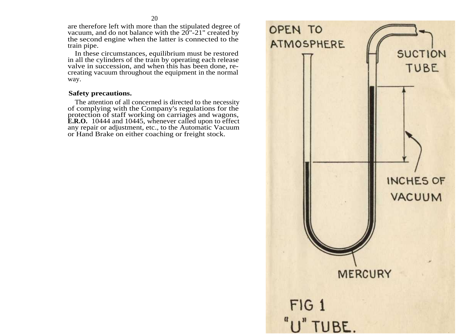are therefore left with more than the stipulated degree of vacuum, and do not balance with the 20"-21" created by the second engine when the latter is connected to the train pipe.

In these circumstances, equilibrium must be restored in all the cylinders of the train by operating each release valve in succession, and when this has been done, recreating vacuum throughout the equipment in the normal way.

#### **Safety precautions.**

The attention of all concerned is directed to the necessity of complying with the Company's regulations for the protection of staff working on carriages and wagons, **E.R.O.** 10444 and 10445, whenever called upon to effect any repair or adjustment, etc., to the Automatic Vacuum or Hand Brake on either coaching or freight stock.

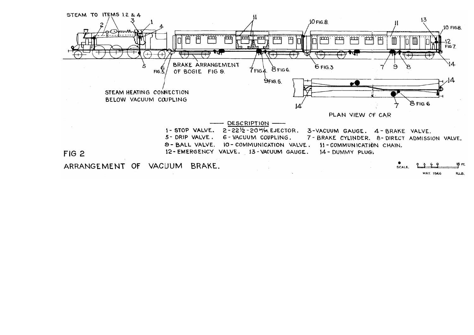

**MAY. 1946** RLS.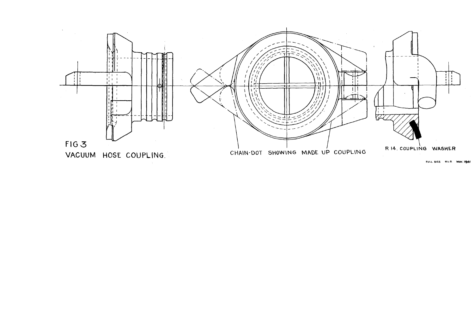

FULL SIZE R.L.S. MAY. 1941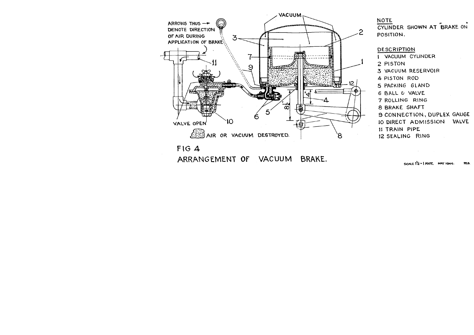

ARRANGEMENT OF VACUUM BRAKE.

SCALE  $1/2$  -  $1$  FOOT, MAY 1946. RLS.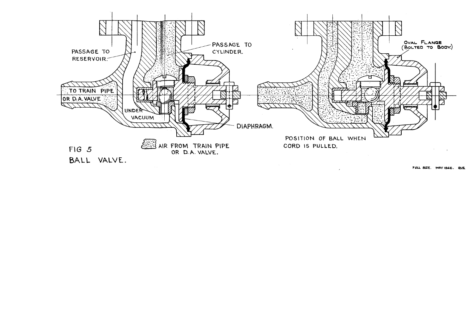

FULL SIZE. MAY 1946. RLS.

 $\mathcal{S}$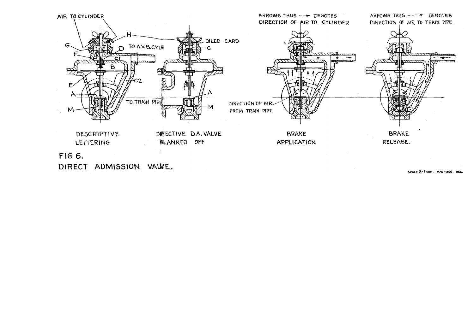

SCALE 3x1FOOT. MAY 1946. RCS.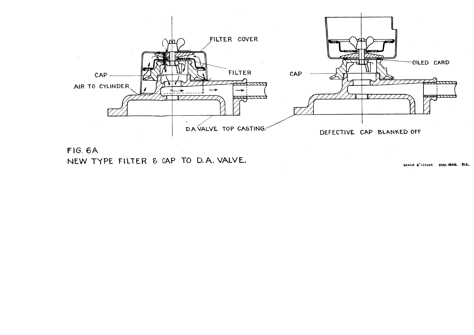

FIG. 6A NEW TYPE FILTER & CAP TO D.A. VALVE.

SCALE 6"=IFOOT. MAY.1946. RLS.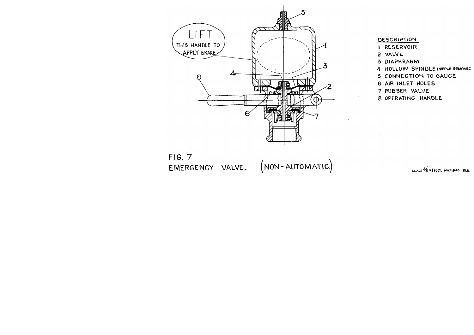

- **DESCRIPTION**
- I RESERVOIR
- 2 VALVE
- 3 DIAPHRAGM
- 4 HOLLOW SPINDLE (NIPPLE REMOVEE
- 5 CONNECTION TO GAUGE
- 6 AIR INLET HOLES
- 7 RUBBER VALVE
- 
- 8 OPERATING HANDLE

 $FIG. 7$ EMERGENCY VALVE. (NON-AUTOMATIC.)

SCALE  $\frac{36}{6}$  = 1 FOOT, MAY 1946. RLS.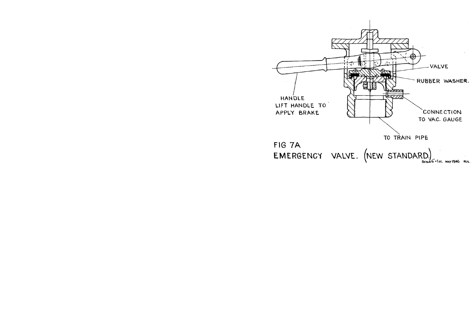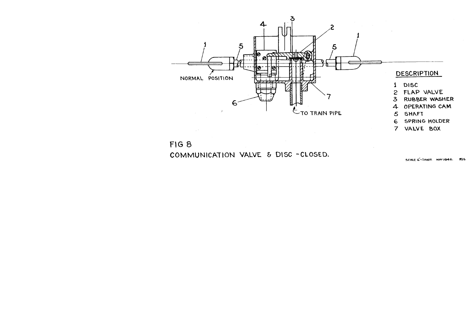

FIG 8 COMMUNICATION VALVE & DISC-CLOSED.

SCALE 6-1 FOOT. MAY 1946. RLS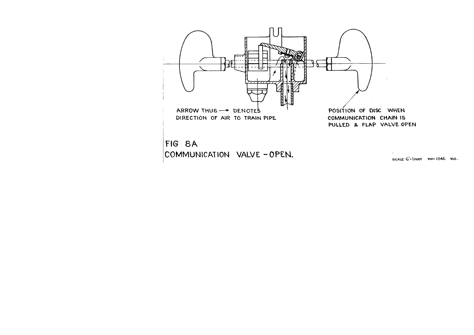

SCALE G-1FOOT MAY 1946 RLS.